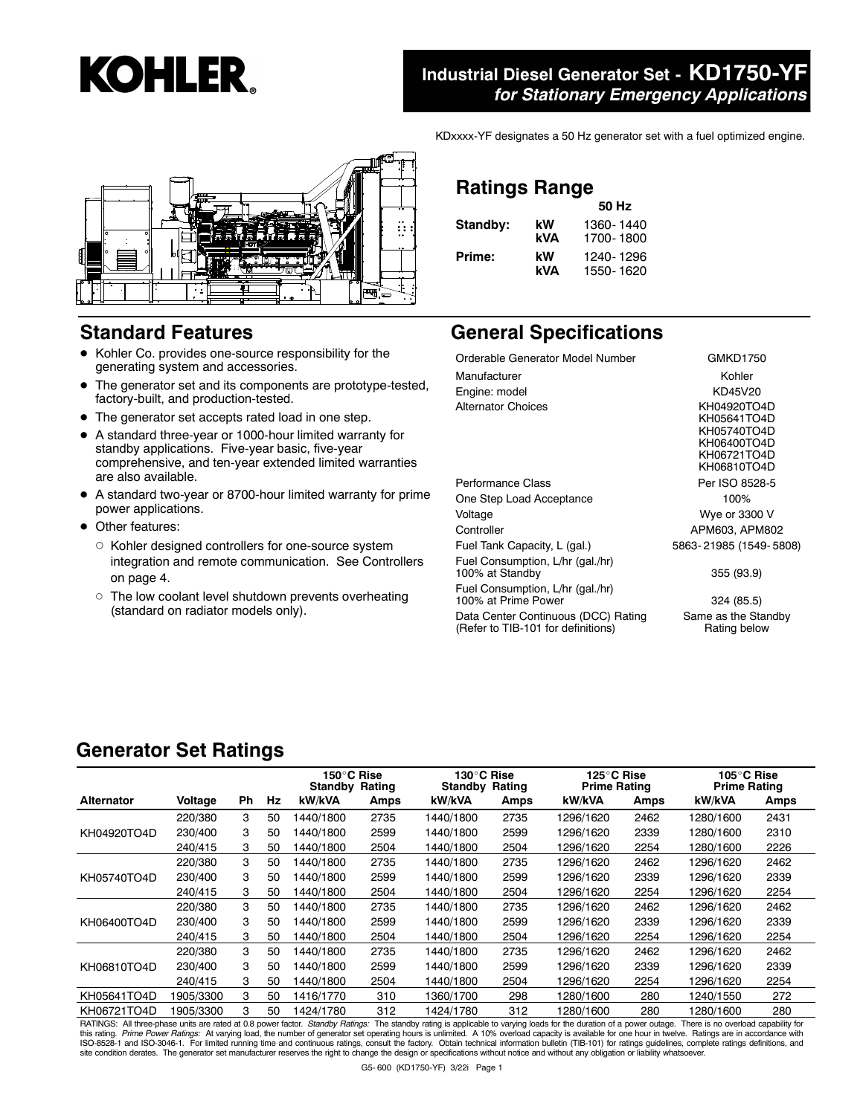

#### **Industrial Diesel Generator Set - KD1750-YF** *for Stationary Emergency Applications*

KDxxxx-YF designates a 50 Hz generator set with a fuel optimized engine.



#### **Standard Features**

- Kohler Co. provides one-source responsibility for the generating system and accessories.
- The generator set and its components are prototype-tested, factory-built, and production-tested.
- The generator set accepts rated load in one step.
- A standard three-year or 1000-hour limited warranty for standby applications. Five-year basic, five-year comprehensive, and ten-year extended limited warranties are also available.
- A standard two-year or 8700-hour limited warranty for prime power applications.
- Other features:
	- $\circ$  Kohler designed controllers for one-source system integration and remote communication. See Controllers on page 4.
	- o The low coolant level shutdown prevents overheating (standard on radiator models only).

#### **Ratings Range**

|          |     | 50 Hz     |  |  |
|----------|-----|-----------|--|--|
| Standby: | kW  | 1360-1440 |  |  |
|          | kVA | 1700-1800 |  |  |
| Prime:   | kW  | 1240-1296 |  |  |
|          | kVA | 1550-1620 |  |  |

#### **General Specifications**

| Orderable Generator Model Number                                          | GMKD1750                                                                               |
|---------------------------------------------------------------------------|----------------------------------------------------------------------------------------|
| Manufacturer                                                              | Kohler                                                                                 |
| Engine: model                                                             | KD45V20                                                                                |
| <b>Alternator Choices</b>                                                 | KH04920TO4D<br>KH05641TO4D<br>KH05740TO4D<br>KH06400TO4D<br>KH06721TO4D<br>KH06810TO4D |
| Performance Class                                                         | Per ISO 8528-5                                                                         |
| One Step Load Acceptance                                                  | 100%                                                                                   |
| Voltage                                                                   | Wye or 3300 V                                                                          |
| Controller                                                                | APM603, APM802                                                                         |
| Fuel Tank Capacity, L (gal.)                                              | 5863-21985 (1549-5808)                                                                 |
| Fuel Consumption, L/hr (gal./hr)<br>100% at Standby                       | 355 (93.9)                                                                             |
| Fuel Consumption, L/hr (gal./hr)<br>100% at Prime Power                   | 324 (85.5)                                                                             |
| Data Center Continuous (DCC) Rating<br>(Refer to TIB-101 for definitions) | Same as the Standby<br>Rating below                                                    |

#### **Generator Set Ratings**

|                   |                |           |    | 150°C Rise<br><b>Standby Rating</b> |      | 130°C Rise<br><b>Standby Rating</b> |      | 125°C Rise<br><b>Prime Rating</b> |      | 105°C Rise<br><b>Prime Rating</b> |      |
|-------------------|----------------|-----------|----|-------------------------------------|------|-------------------------------------|------|-----------------------------------|------|-----------------------------------|------|
| <b>Alternator</b> | <b>Voltage</b> | <b>Ph</b> | Hz | kW/kVA                              | Amps | kW/kVA                              | Amps | kW/kVA                            | Amps | kW/kVA                            | Amps |
|                   | 220/380        | 3         | 50 | 1440/1800                           | 2735 | 1440/1800                           | 2735 | 1296/1620                         | 2462 | 1280/1600                         | 2431 |
| KH04920TO4D       | 230/400        | 3         | 50 | 1440/1800                           | 2599 | 1440/1800                           | 2599 | 1296/1620                         | 2339 | 1280/1600                         | 2310 |
|                   | 240/415        | 3         | 50 | 1440/1800                           | 2504 | 1440/1800                           | 2504 | 1296/1620                         | 2254 | 1280/1600                         | 2226 |
|                   | 220/380        | 3         | 50 | 1440/1800                           | 2735 | 1440/1800                           | 2735 | 1296/1620                         | 2462 | 1296/1620                         | 2462 |
| KH05740TO4D       | 230/400        | 3         | 50 | 1440/1800                           | 2599 | 1440/1800                           | 2599 | 1296/1620                         | 2339 | 1296/1620                         | 2339 |
|                   | 240/415        | 3         | 50 | 1440/1800                           | 2504 | 1440/1800                           | 2504 | 1296/1620                         | 2254 | 1296/1620                         | 2254 |
|                   | 220/380        | 3         | 50 | 1440/1800                           | 2735 | 1440/1800                           | 2735 | 1296/1620                         | 2462 | 1296/1620                         | 2462 |
| KH06400TO4D       | 230/400        | 3         | 50 | 1440/1800                           | 2599 | 1440/1800                           | 2599 | 1296/1620                         | 2339 | 1296/1620                         | 2339 |
|                   | 240/415        | 3         | 50 | 1440/1800                           | 2504 | 1440/1800                           | 2504 | 1296/1620                         | 2254 | 1296/1620                         | 2254 |
|                   | 220/380        | 3         | 50 | 1440/1800                           | 2735 | 1440/1800                           | 2735 | 1296/1620                         | 2462 | 1296/1620                         | 2462 |
| KH06810TO4D       | 230/400        | 3         | 50 | 1440/1800                           | 2599 | 1440/1800                           | 2599 | 1296/1620                         | 2339 | 1296/1620                         | 2339 |
|                   | 240/415        | 3         | 50 | 1440/1800                           | 2504 | 1440/1800                           | 2504 | 1296/1620                         | 2254 | 1296/1620                         | 2254 |
| KH05641TO4D       | 1905/3300      | 3         | 50 | 1416/1770                           | 310  | 1360/1700                           | 298  | 1280/1600                         | 280  | 1240/1550                         | 272  |
| KH06721TO4D       | 1905/3300      | 3         | 50 | 1424/1780                           | 312  | 1424/1780                           | 312  | 1280/1600                         | 280  | 1280/1600                         | 280  |

RATINGS: All three-phase units are rated at 0.8 power factor. *Standby Ratings:* The standby rating is applicable to varying loads for the duration of a power outage. There is no overload capability for<br>this rating. *Prime*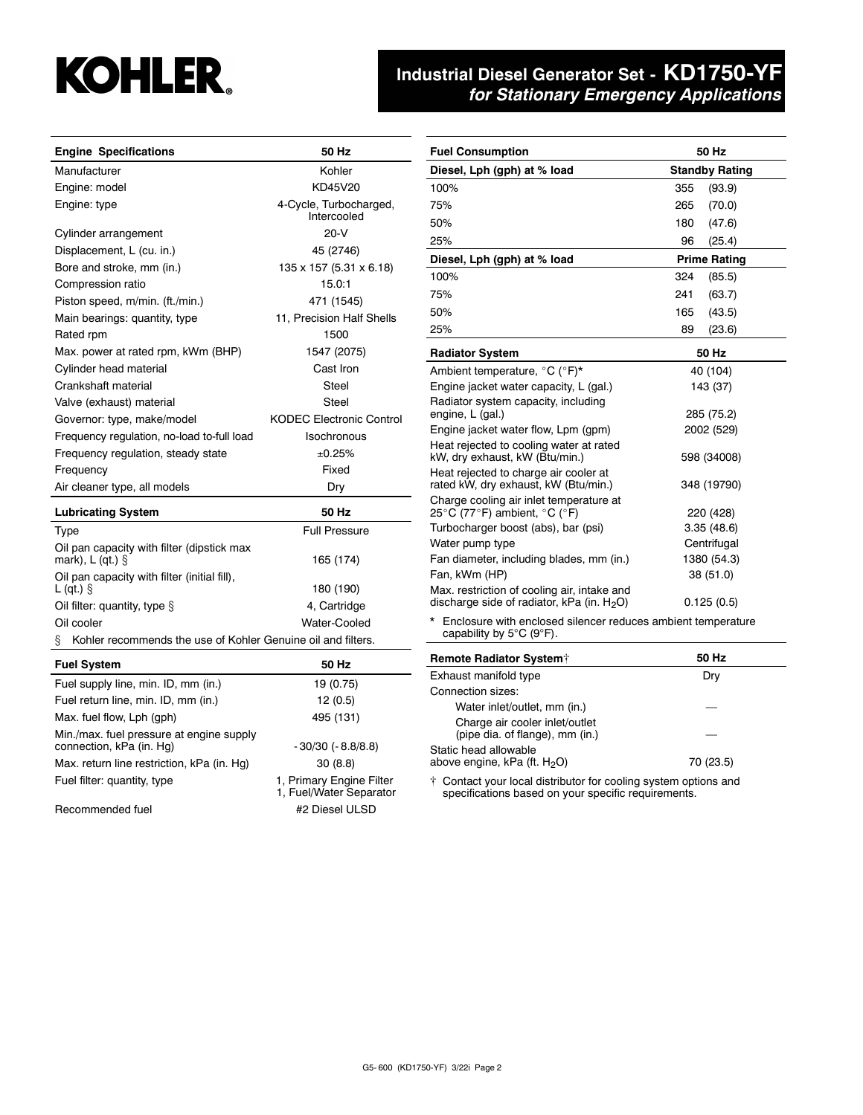# **KOHLER.**

## **Industrial Diesel Generator Set - KD1750-YF** *for Stationary Emergency Applications*

| <b>Engine Specifications</b>                                                                | 50 Hz<br><b>Fuel Consumption</b>                    |                                                                                                                        | 50 Hz                 |
|---------------------------------------------------------------------------------------------|-----------------------------------------------------|------------------------------------------------------------------------------------------------------------------------|-----------------------|
| Manufacturer                                                                                | Kohler                                              | Diesel, Lph (gph) at % load                                                                                            | <b>Standby Rating</b> |
| Engine: model                                                                               | KD45V20                                             | 100%                                                                                                                   | 355<br>(93.9)         |
| Engine: type                                                                                | 4-Cycle, Turbocharged,                              | 75%                                                                                                                    | 265<br>(70.0)         |
|                                                                                             | Intercooled                                         | 50%                                                                                                                    | 180<br>(47.6)         |
| Cylinder arrangement                                                                        | $20-V$                                              | 25%                                                                                                                    | 96<br>(25.4)          |
| Displacement, L (cu. in.)                                                                   | 45 (2746)                                           | Diesel, Lph (gph) at % load                                                                                            | <b>Prime Rating</b>   |
| Bore and stroke, mm (in.)                                                                   | 135 x 157 (5.31 x 6.18)                             | 100%                                                                                                                   | 324<br>(85.5)         |
| Compression ratio                                                                           | 15.0:1                                              | 75%                                                                                                                    | 241<br>(63.7)         |
| Piston speed, m/min. (ft./min.)                                                             | 471 (1545)                                          | 50%                                                                                                                    | 165<br>(43.5)         |
| Main bearings: quantity, type                                                               | 11, Precision Half Shells                           | 25%                                                                                                                    | 89<br>(23.6)          |
| Rated rpm                                                                                   | 1500                                                |                                                                                                                        |                       |
| Max. power at rated rpm, kWm (BHP)                                                          | 1547 (2075)                                         | <b>Radiator System</b>                                                                                                 | 50 Hz                 |
| Cylinder head material                                                                      | Cast Iron                                           | Ambient temperature, °C (°F)*                                                                                          | 40 (104)              |
| Crankshaft material                                                                         | Steel                                               | Engine jacket water capacity, L (gal.)                                                                                 | 143 (37)              |
| Valve (exhaust) material                                                                    | Steel                                               | Radiator system capacity, including<br>engine, L (gal.)                                                                | 285 (75.2)            |
| Governor: type, make/model                                                                  | <b>KODEC Electronic Control</b>                     | Engine jacket water flow, Lpm (gpm)                                                                                    | 2002 (529)            |
| Frequency regulation, no-load to-full load                                                  | Isochronous                                         | Heat rejected to cooling water at rated                                                                                |                       |
| Frequency regulation, steady state                                                          | ±0.25%                                              | kW, dry exhaust, kW (Btu/min.)                                                                                         | 598 (34008)           |
| Frequency                                                                                   | Fixed                                               | Heat rejected to charge air cooler at                                                                                  |                       |
| Air cleaner type, all models                                                                | Dry                                                 | rated kW, dry exhaust, kW (Btu/min.)<br>Charge cooling air inlet temperature at                                        | 348 (19790)           |
| <b>Lubricating System</b>                                                                   | 50 Hz                                               | 25°C (77°F) ambient, °C (°F)                                                                                           | 220 (428)             |
| Type                                                                                        | <b>Full Pressure</b>                                | Turbocharger boost (abs), bar (psi)                                                                                    | 3.35(48.6)            |
| Oil pan capacity with filter (dipstick max                                                  |                                                     | Water pump type                                                                                                        | Centrifugal           |
| mark), $L$ (qt.) $\S$                                                                       | 165 (174)                                           | Fan diameter, including blades, mm (in.)                                                                               | 1380 (54.3)           |
| Oil pan capacity with filter (initial fill),<br>$L$ (qt.) $\hat{S}$                         | 180 (190)                                           | Fan, kWm (HP)<br>Max. restriction of cooling air, intake and                                                           | 38 (51.0)             |
| Oil filter: quantity, type $\S$                                                             | 4. Cartridge                                        | discharge side of radiator, kPa (in. $H_2O$ )                                                                          | 0.125(0.5)            |
| Oil cooler<br>Water-Cooled                                                                  |                                                     | * Enclosure with enclosed silencer reduces ambient temperature                                                         |                       |
| Kohler recommends the use of Kohler Genuine oil and filters.                                |                                                     | capability by $5^{\circ}$ C (9 $^{\circ}$ F).                                                                          |                       |
| <b>Fuel System</b>                                                                          | 50 Hz                                               | Remote Radiator System <sup>+</sup>                                                                                    | 50 Hz                 |
| Fuel supply line, min. ID, mm (in.)                                                         | 19 (0.75)                                           | Exhaust manifold type                                                                                                  | Dry                   |
| Fuel return line, min. ID, mm (in.)                                                         | 12(0.5)                                             | Connection sizes:                                                                                                      |                       |
| Max. fuel flow, Lph (gph)                                                                   |                                                     | Water inlet/outlet, mm (in.)                                                                                           |                       |
|                                                                                             | 495 (131)                                           | Charge air cooler inlet/outlet                                                                                         |                       |
| Min./max. fuel pressure at engine supply<br>connection, kPa (in. Hg)<br>- 30/30 (- 8.8/8.8) |                                                     | (pipe dia. of flange), mm (in.)<br>Static head allowable                                                               |                       |
| Max. return line restriction, kPa (in. Hg)                                                  | 30(8.8)                                             | above engine, kPa (ft. H <sub>2</sub> O)                                                                               | 70 (23.5)             |
| Fuel filter: quantity, type                                                                 | 1, Primary Engine Filter<br>1, Fuel/Water Separator | † Contact your local distributor for cooling system options and<br>specifications based on your specific requirements. |                       |
| Recommended fuel                                                                            | #2 Diesel ULSD                                      |                                                                                                                        |                       |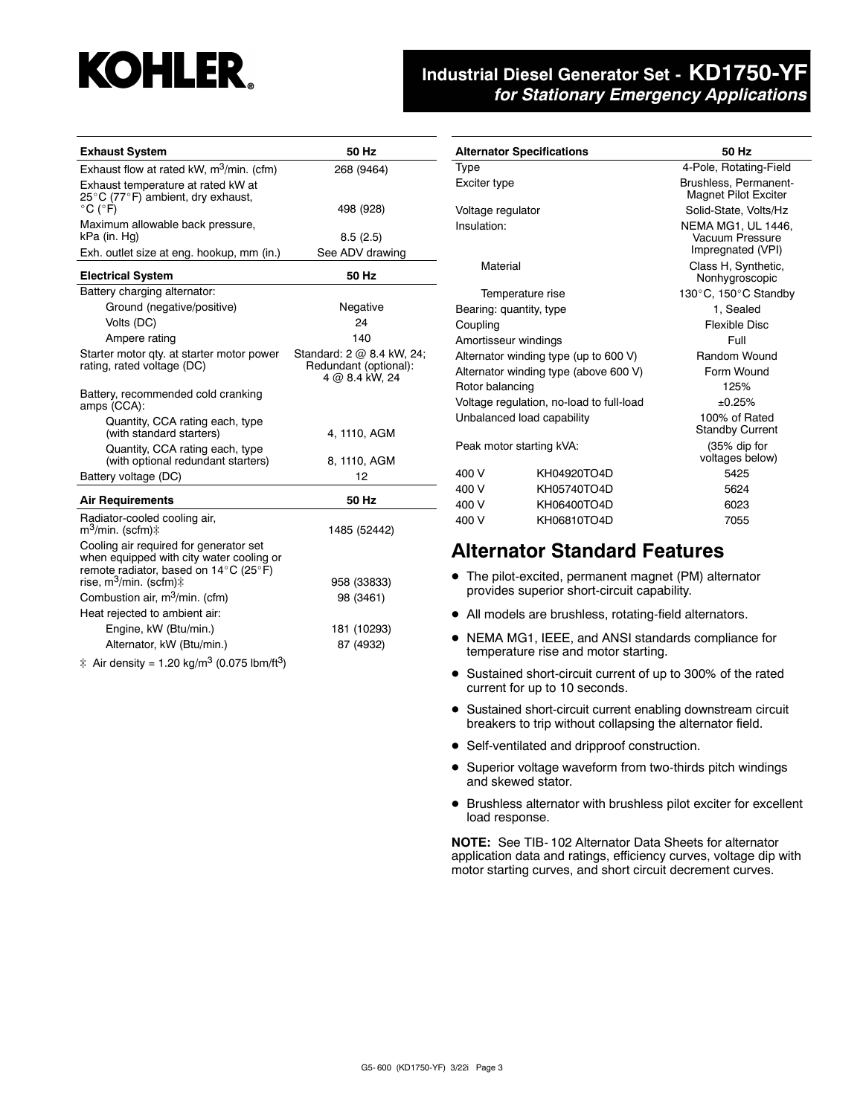## **KOHLER.**

#### **Industrial Diesel Generator Set - KD1750-YF** *for Stationary Emergency Applications*

| <b>Exhaust System</b>                                                                                                       | 50 Hz                                                                |
|-----------------------------------------------------------------------------------------------------------------------------|----------------------------------------------------------------------|
| Exhaust flow at rated kW, m <sup>3</sup> /min. (cfm)                                                                        | 268 (9464)                                                           |
| Exhaust temperature at rated kW at                                                                                          |                                                                      |
| 25°C (77°F) ambient, dry exhaust,<br>$^{\circ}$ C ( $^{\circ}$ F)                                                           | 498 (928)                                                            |
| Maximum allowable back pressure,                                                                                            |                                                                      |
| kPa (in. Hg)                                                                                                                | 8.5(2.5)                                                             |
| Exh. outlet size at eng. hookup, mm (in.)                                                                                   | See ADV drawing                                                      |
| <b>Electrical System</b>                                                                                                    | 50 Hz                                                                |
| Battery charging alternator:                                                                                                |                                                                      |
| Ground (negative/positive)                                                                                                  | Negative                                                             |
| Volts (DC)                                                                                                                  | 24                                                                   |
| Ampere rating                                                                                                               | 140                                                                  |
| Starter motor qty. at starter motor power<br>rating, rated voltage (DC)                                                     | Standard: 2 @ 8.4 kW, 24;<br>Redundant (optional):<br>4 @ 8.4 kW, 24 |
| Battery, recommended cold cranking<br>amps (CCA):                                                                           |                                                                      |
| Quantity, CCA rating each, type<br>(with standard starters)                                                                 | 4, 1110, AGM                                                         |
| Quantity, CCA rating each, type<br>(with optional redundant starters)                                                       | 8, 1110, AGM                                                         |
| Battery voltage (DC)                                                                                                        | 12                                                                   |
| <b>Air Requirements</b>                                                                                                     | 50 Hz                                                                |
| Radiator-cooled cooling air,<br>m <sup>3</sup> /min. (scfm)‡                                                                | 1485 (52442)                                                         |
| Cooling air required for generator set<br>when equipped with city water cooling or<br>remote radiator, based on 14°C (25°F) |                                                                      |
| rise, m <sup>3</sup> /min. (scfm)‡                                                                                          | 958 (33833)                                                          |
| Combustion air, m <sup>3</sup> /min. (cfm)                                                                                  | 98 (3461)                                                            |
| Heat rejected to ambient air:                                                                                               |                                                                      |
| Engine, kW (Btu/min.)                                                                                                       | 181 (10293)                                                          |
| Alternator, kW (Btu/min.)                                                                                                   | 87 (4932)                                                            |
| ‡ Air density = 1.20 kg/m <sup>3</sup> (0.075 lbm/ft <sup>3</sup> )                                                         |                                                                      |

| <b>Alternator Specifications</b> |                                          | 50 Hz                                                             |  |  |
|----------------------------------|------------------------------------------|-------------------------------------------------------------------|--|--|
| Type                             |                                          | 4-Pole, Rotating-Field                                            |  |  |
| Exciter type                     |                                          | Brushless, Permanent-<br><b>Magnet Pilot Exciter</b>              |  |  |
| Voltage regulator                |                                          | Solid-State, Volts/Hz                                             |  |  |
| Insulation:                      |                                          | <b>NEMA MG1, UL 1446.</b><br>Vacuum Pressure<br>Impregnated (VPI) |  |  |
| Material                         |                                          | Class H, Synthetic,<br>Nonhygroscopic                             |  |  |
| Temperature rise                 |                                          | 130°C, 150°C Standby                                              |  |  |
| Bearing: quantity, type          |                                          | 1, Sealed                                                         |  |  |
| Coupling                         |                                          | Flexible Disc                                                     |  |  |
| Amortisseur windings             |                                          | Full                                                              |  |  |
|                                  | Alternator winding type (up to 600 V)    | Random Wound                                                      |  |  |
|                                  | Alternator winding type (above 600 V)    | Form Wound                                                        |  |  |
| Rotor balancing                  |                                          | 125%                                                              |  |  |
|                                  | Voltage regulation, no-load to full-load | ±0.25%                                                            |  |  |
| Unbalanced load capability       |                                          | 100% of Rated<br><b>Standby Current</b>                           |  |  |
| Peak motor starting kVA:         |                                          | (35% dip for<br>voltages below)                                   |  |  |
| 400 V                            | KH04920TO4D                              | 5425                                                              |  |  |
| 400 V                            | KH05740TO4D                              | 5624                                                              |  |  |
| 400 V                            | KH06400TO4D                              | 6023                                                              |  |  |
| 400 V                            | KH06810TO4D                              | 7055                                                              |  |  |

#### **Alternator Standard Features**

- The pilot-excited, permanent magnet (PM) alternator provides superior short-circuit capability.
- All models are brushless, rotating-field alternators.
- NEMA MG1, IEEE, and ANSI standards compliance for temperature rise and motor starting.
- Sustained short-circuit current of up to 300% of the rated current for up to 10 seconds.
- Sustained short-circuit current enabling downstream circuit breakers to trip without collapsing the alternator field.
- Self-ventilated and dripproof construction.
- Superior voltage waveform from two-thirds pitch windings and skewed stator.
- Brushless alternator with brushless pilot exciter for excellent load response.

**NOTE:** See TIB- 102 Alternator Data Sheets for alternator application data and ratings, efficiency curves, voltage dip with motor starting curves, and short circuit decrement curves.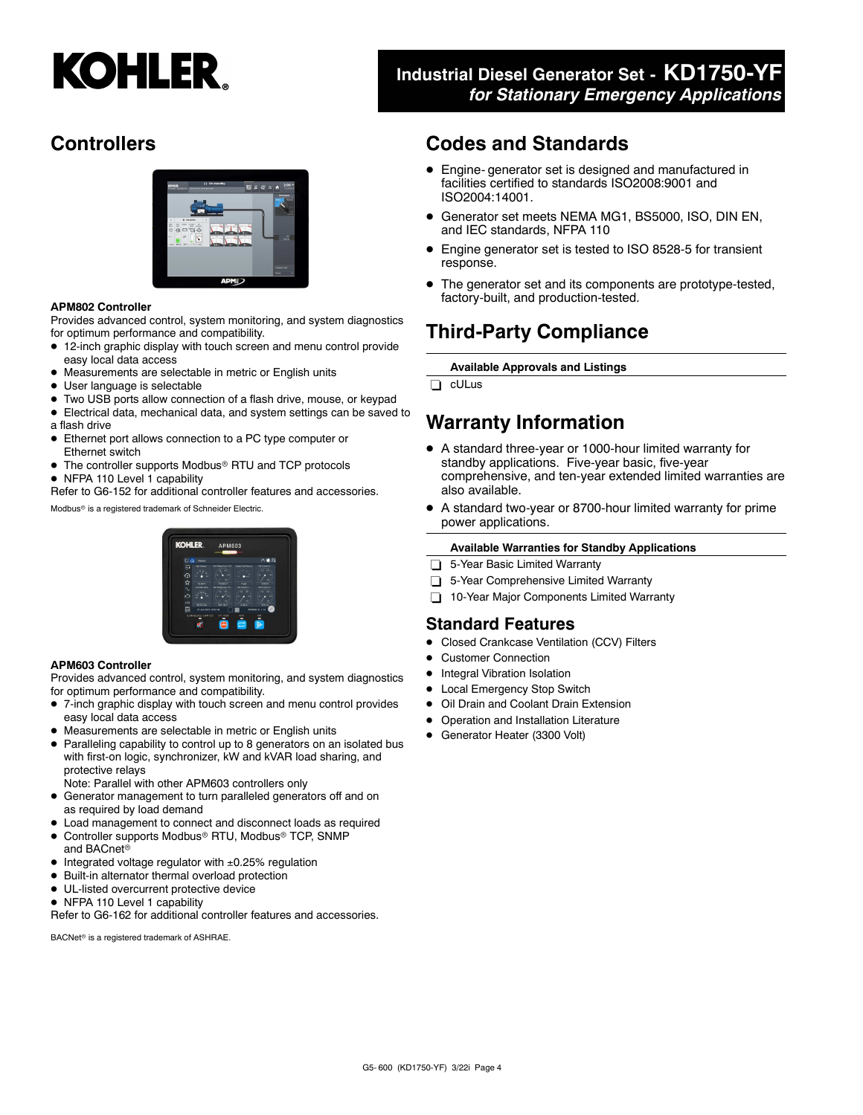# **KOHLER.**

### **Industrial Diesel Generator Set - KD1750-YF** *for Stationary Emergency Applications*

### **Controllers**



#### **APM802 Controller**

Provides advanced control, system monitoring, and system diagnostics for optimum performance and compatibility.

- 12-inch graphic display with touch screen and menu control provide easy local data access
- Measurements are selectable in metric or English units
- User language is selectable
- Two USB ports allow connection of a flash drive, mouse, or keypad
- Electrical data, mechanical data, and system settings can be saved to a flash drive
- Ethernet port allows connection to a PC type computer or Ethernet switch
- The controller supports Modbus<sup>®</sup> RTU and TCP protocols
- NFPA 110 Level 1 capability

Refer to G6-152 for additional controller features and accessories.

Modbus<sup>®</sup> is a registered trademark of Schneider Electric.

# **KOHI ED**

#### **APM603 Controller**

Provides advanced control, system monitoring, and system diagnostics for optimum performance and compatibility.

- 7-inch graphic display with touch screen and menu control provides easy local data access
- Measurements are selectable in metric or English units
- Paralleling capability to control up to 8 generators on an isolated bus with first-on logic, synchronizer, kW and kVAR load sharing, and protective relays
- Note: Parallel with other APM603 controllers only
- Generator management to turn paralleled generators off and on as required by load demand
- Load management to connect and disconnect loads as required
- Controller supports Modbus<sup>®</sup> RTU, Modbus<sup>®</sup> TCP, SNMP and BACnet
- $\bullet$  Integrated voltage regulator with  $\pm 0.25\%$  regulation
- Built-in alternator thermal overload protection
- UL-listed overcurrent protective device
- NFPA 110 Level 1 capability

Refer to G6-162 for additional controller features and accessories.

BACNet<sup>®</sup> is a registered trademark of ASHRAE.

#### **Codes and Standards**

- Engine- generator set is designed and manufactured in facilities certified to standards ISO2008:9001 and ISO2004:14001.
- Generator set meets NEMA MG1, BS5000, ISO, DIN EN, and IEC standards, NFPA 110
- Engine generator set is tested to ISO 8528-5 for transient response.
- The generator set and its components are prototype-tested, factory-built, and production-tested.

#### **Third-Party Compliance**

**Available Approvals and Listings**

cULus

#### **Warranty Information**

- A standard three-year or 1000-hour limited warranty for standby applications. Five-year basic, five-year comprehensive, and ten-year extended limited warranties are also available.
- A standard two-year or 8700-hour limited warranty for prime power applications.

#### **Available Warranties for Standby Applications**

- 5-Year Basic Limited Warranty
- 5-Year Comprehensive Limited Warranty
- 10-Year Major Components Limited Warranty

#### **Standard Features**

- Closed Crankcase Ventilation (CCV) Filters
- Customer Connection
- Integral Vibration Isolation
- Local Emergency Stop Switch
- Oil Drain and Coolant Drain Extension
- Operation and Installation Literature
- Generator Heater (3300 Volt)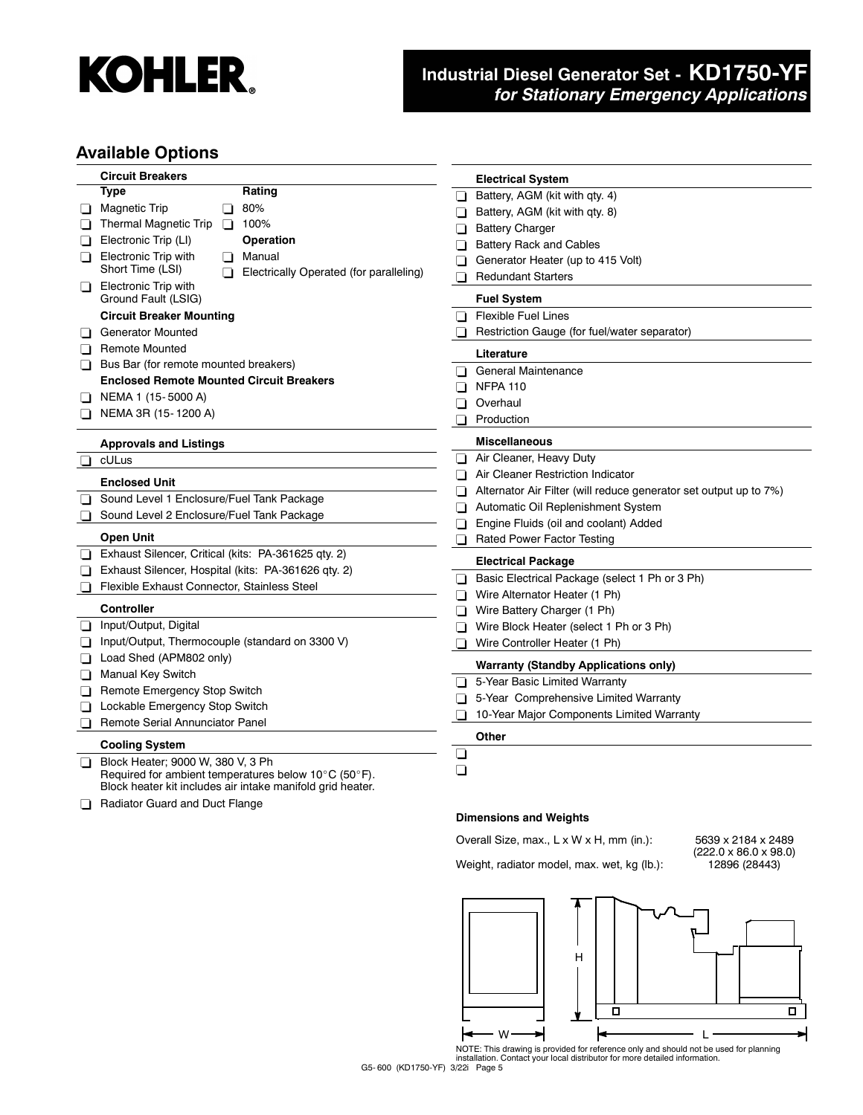

## **Industrial Diesel Generator Set - KD1750-YF** *for Stationary Emergency Applications*

#### **Available Options**

| <b>Circuit Breakers</b>                                       | <b>Electrical System</b>                                          |
|---------------------------------------------------------------|-------------------------------------------------------------------|
| <b>Type</b><br>Rating                                         | Battery, AGM (kit with qty. 4)<br>H                               |
| 80%<br><b>Magnetic Trip</b><br>⊔<br>ப                         | Battery, AGM (kit with qty. 8)                                    |
| <b>Thermal Magnetic Trip</b><br>$\Box$ 100%                   | <b>Battery Charger</b>                                            |
| Operation<br>Electronic Trip (LI)                             | <b>Battery Rack and Cables</b><br>n                               |
| Electronic Trip with<br>Manual<br>◻<br>l I                    | Generator Heater (up to 415 Volt)                                 |
| Short Time (LSI)<br>Electrically Operated (for paralleling)   | <b>Redundant Starters</b><br>H                                    |
| <b>Electronic Trip with</b><br>❏<br>Ground Fault (LSIG)       | <b>Fuel System</b>                                                |
| <b>Circuit Breaker Mounting</b>                               | <b>Flexible Fuel Lines</b><br>l I                                 |
| <b>Generator Mounted</b><br>⊔                                 | Restriction Gauge (for fuel/water separator)                      |
| <b>Remote Mounted</b><br>o.                                   | Literature                                                        |
| Bus Bar (for remote mounted breakers)<br>⊔                    | General Maintenance<br>n.                                         |
| <b>Enclosed Remote Mounted Circuit Breakers</b>               | <b>NFPA 110</b>                                                   |
| NEMA 1 (15-5000 A)                                            | Overhaul<br>$\blacksquare$                                        |
| NEMA 3R (15-1200 A)                                           | Production                                                        |
|                                                               |                                                                   |
| <b>Approvals and Listings</b>                                 | <b>Miscellaneous</b>                                              |
| cULus                                                         | Air Cleaner, Heavy Duty                                           |
| <b>Enclosed Unit</b>                                          | Air Cleaner Restriction Indicator<br>n                            |
| Sound Level 1 Enclosure/Fuel Tank Package<br>⊔                | Alternator Air Filter (will reduce generator set output up to 7%) |
| Sound Level 2 Enclosure/Fuel Tank Package<br>◻                | Automatic Oil Replenishment System<br>П                           |
|                                                               | Engine Fluids (oil and coolant) Added                             |
| <b>Open Unit</b>                                              | Rated Power Factor Testing<br>ப                                   |
| Exhaust Silencer, Critical (kits: PA-361625 qty. 2)<br>$\Box$ | <b>Electrical Package</b>                                         |
| Exhaust Silencer, Hospital (kits: PA-361626 qty. 2)<br>⊔      | Basic Electrical Package (select 1 Ph or 3 Ph)<br>◻               |
| Flexible Exhaust Connector, Stainless Steel<br>◻              | Wire Alternator Heater (1 Ph)<br>⊓                                |
| <b>Controller</b>                                             | Wire Battery Charger (1 Ph)                                       |
| Input/Output, Digital<br>ப                                    | Wire Block Heater (select 1 Ph or 3 Ph)                           |
| Input/Output, Thermocouple (standard on 3300 V)<br>ப          | Wire Controller Heater (1 Ph)                                     |
| Load Shed (APM802 only)<br>❏                                  | <b>Warranty (Standby Applications only)</b>                       |
| Manual Key Switch                                             | 5-Year Basic Limited Warranty<br>n.                               |
| Remote Emergency Stop Switch<br>ப                             | 5-Year Comprehensive Limited Warranty                             |
| Lockable Emergency Stop Switch<br>⊔                           | 10-Year Major Components Limited Warranty                         |
| Remote Serial Annunciator Panel                               |                                                                   |
| <b>Cooling System</b>                                         | Other                                                             |
| Block Heater; 9000 W, 380 V, 3 Ph<br>◻                        | ⊔                                                                 |
| Required for ambient temperatures below 10°C (50°F).          | ❏                                                                 |
| Block heater kit includes air intake manifold grid heater.    |                                                                   |
| Radiator Guard and Duct Flange                                |                                                                   |
|                                                               | <b>Dimensions and Weights</b>                                     |

## Overall Size, max., L x W x H, mm (in.): 5639 x 2184 x 2489

Weight, radiator model, max. wet, kg (lb.):





NOTE: This drawing is provided for reference only and should not be used for planning installation. Contact your local distributor for more detailed information.